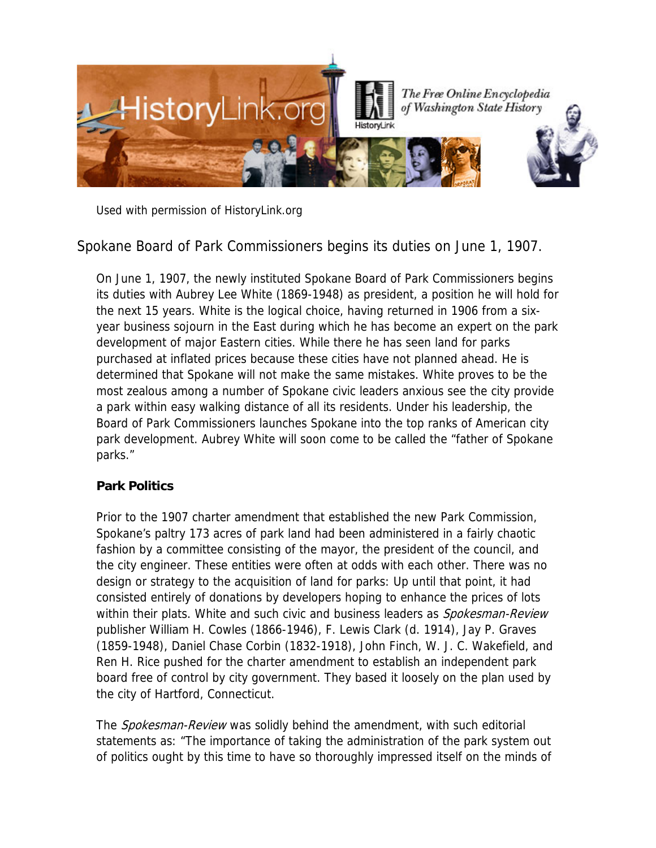

Used with permission of HistoryLink.org

Spokane Board of Park Commissioners begins its duties on June 1, 1907.

On June 1, 1907, the newly instituted Spokane Board of Park Commissioners begins its duties with Aubrey Lee White (1869-1948) as president, a position he will hold for the next 15 years. White is the logical choice, having returned in 1906 from a sixyear business sojourn in the East during which he has become an expert on the park development of major Eastern cities. While there he has seen land for parks purchased at inflated prices because these cities have not planned ahead. He is determined that Spokane will not make the same mistakes. White proves to be the most zealous among a number of Spokane civic leaders anxious see the city provide a park within easy walking distance of all its residents. Under his leadership, the Board of Park Commissioners launches Spokane into the top ranks of American city park development. Aubrey White will soon come to be called the "father of Spokane parks."

## **Park Politics**

Prior to the 1907 charter amendment that established the new Park Commission, Spokane's paltry 173 acres of park land had been administered in a fairly chaotic fashion by a committee consisting of the mayor, the president of the council, and the city engineer. These entities were often at odds with each other. There was no design or strategy to the acquisition of land for parks: Up until that point, it had consisted entirely of donations by developers hoping to enhance the prices of lots within their plats. White and such civic and business leaders as *Spokesman-Review* publisher William H. Cowles (1866-1946), F. Lewis Clark (d. 1914), Jay P. Graves (1859-1948), Daniel Chase Corbin (1832-1918), John Finch, W. J. C. Wakefield, and Ren H. Rice pushed for the charter amendment to establish an independent park board free of control by city government. They based it loosely on the plan used by the city of Hartford, Connecticut.

The *Spokesman-Review* was solidly behind the amendment, with such editorial statements as: "The importance of taking the administration of the park system out of politics ought by this time to have so thoroughly impressed itself on the minds of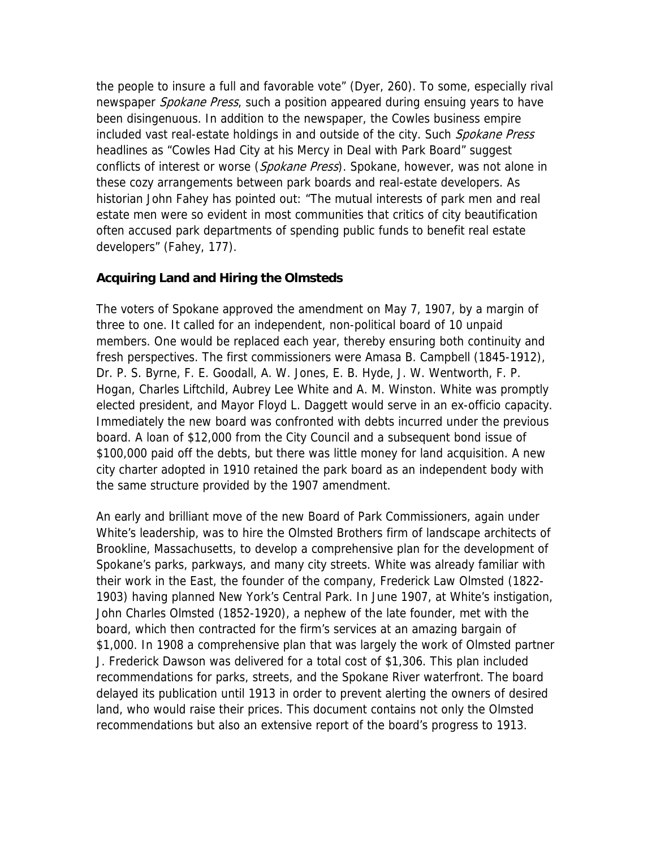the people to insure a full and favorable vote" (Dyer, 260). To some, especially rival newspaper *Spokane Press*, such a position appeared during ensuing years to have been disingenuous. In addition to the newspaper, the Cowles business empire included vast real-estate holdings in and outside of the city. Such Spokane Press headlines as "Cowles Had City at his Mercy in Deal with Park Board" suggest conflicts of interest or worse (*Spokane Press*). Spokane, however, was not alone in these cozy arrangements between park boards and real-estate developers. As historian John Fahey has pointed out: "The mutual interests of park men and real estate men were so evident in most communities that critics of city beautification often accused park departments of spending public funds to benefit real estate developers" (Fahey, 177).

## **Acquiring Land and Hiring the Olmsteds**

The voters of Spokane approved the amendment on May 7, 1907, by a margin of three to one. It called for an independent, non-political board of 10 unpaid members. One would be replaced each year, thereby ensuring both continuity and fresh perspectives. The first commissioners were Amasa B. Campbell (1845-1912), Dr. P. S. Byrne, F. E. Goodall, A. W. Jones, E. B. Hyde, J. W. Wentworth, F. P. Hogan, Charles Liftchild, Aubrey Lee White and A. M. Winston. White was promptly elected president, and Mayor Floyd L. Daggett would serve in an ex-officio capacity. Immediately the new board was confronted with debts incurred under the previous board. A loan of \$12,000 from the City Council and a subsequent bond issue of \$100,000 paid off the debts, but there was little money for land acquisition. A new city charter adopted in 1910 retained the park board as an independent body with the same structure provided by the 1907 amendment.

An early and brilliant move of the new Board of Park Commissioners, again under White's leadership, was to hire the Olmsted Brothers firm of landscape architects of Brookline, Massachusetts, to develop a comprehensive plan for the development of Spokane's parks, parkways, and many city streets. White was already familiar with their work in the East, the founder of the company, Frederick Law Olmsted (1822- 1903) having planned New York's Central Park. In June 1907, at White's instigation, John Charles Olmsted (1852-1920), a nephew of the late founder, met with the board, which then contracted for the firm's services at an amazing bargain of \$1,000. In 1908 a comprehensive plan that was largely the work of Olmsted partner J. Frederick Dawson was delivered for a total cost of \$1,306. This plan included recommendations for parks, streets, and the Spokane River waterfront. The board delayed its publication until 1913 in order to prevent alerting the owners of desired land, who would raise their prices. This document contains not only the Olmsted recommendations but also an extensive report of the board's progress to 1913.